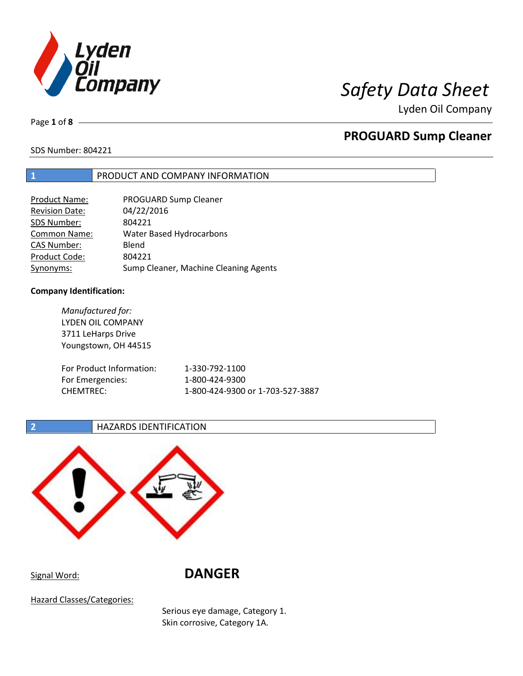

Lyden Oil Company

Page **1** of **8**

# **PROGUARD Sump Cleaner**

SDS Number: 804221

## **1** PRODUCT AND COMPANY INFORMATION

| <b>Product Name:</b>  | PROGUARD Sump Cleaner                 |
|-----------------------|---------------------------------------|
| <b>Revision Date:</b> | 04/22/2016                            |
| SDS Number:           | 804221                                |
| <b>Common Name:</b>   | Water Based Hydrocarbons              |
| <b>CAS Number:</b>    | Blend                                 |
| Product Code:         | 804221                                |
| Synonyms:             | Sump Cleaner, Machine Cleaning Agents |

### **Company Identification:**

| Manufactured for:        |                                  |
|--------------------------|----------------------------------|
| LYDEN OIL COMPANY        |                                  |
| 3711 LeHarps Drive       |                                  |
| Youngstown, OH 44515     |                                  |
|                          |                                  |
| For Product Information: | 1-330-792-1100                   |
| For Emergencies:         | 1-800-424-9300                   |
| <b>CHEMTREC:</b>         | 1-800-424-9300 or 1-703-527-3887 |
|                          |                                  |

### **2 HAZARDS IDENTIFICATION**



Signal Word: **DANGER**

Hazard Classes/Categories:

Serious eye damage, Category 1. Skin corrosive, Category 1A.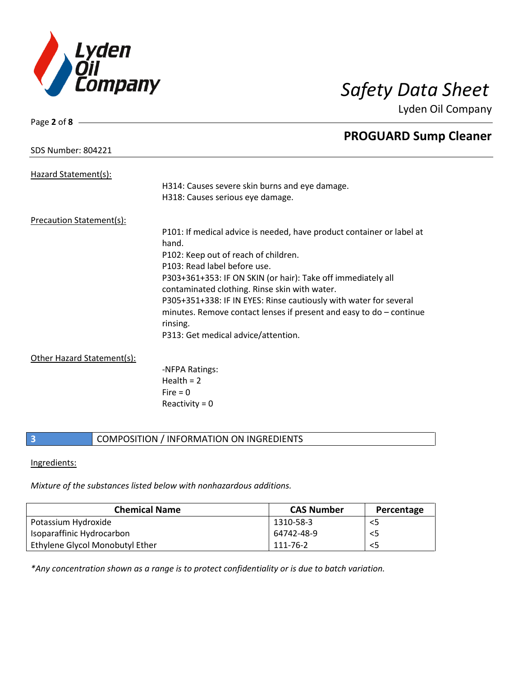

Lyden Oil Company

| Page 2 of 8 $-$                 |                                                                       |
|---------------------------------|-----------------------------------------------------------------------|
|                                 | <b>PROGUARD Sump Cleaner</b>                                          |
| <b>SDS Number: 804221</b>       |                                                                       |
|                                 |                                                                       |
| Hazard Statement(s):            |                                                                       |
|                                 | H314: Causes severe skin burns and eye damage.                        |
|                                 | H318: Causes serious eye damage.                                      |
| <b>Precaution Statement(s):</b> |                                                                       |
|                                 | P101: If medical advice is needed, have product container or label at |
|                                 | hand.                                                                 |
|                                 | P102: Keep out of reach of children.                                  |
|                                 | P103: Read label before use.                                          |
|                                 | P303+361+353: IF ON SKIN (or hair): Take off immediately all          |
|                                 | contaminated clothing. Rinse skin with water.                         |
|                                 |                                                                       |
|                                 | P305+351+338: IF IN EYES: Rinse cautiously with water for several     |
|                                 | minutes. Remove contact lenses if present and easy to $do$ – continue |
|                                 | rinsing.                                                              |
|                                 | P313: Get medical advice/attention.                                   |
| Other Hazard Statement(s):      |                                                                       |
|                                 | -NFPA Ratings:                                                        |
|                                 | Health $= 2$                                                          |
|                                 | Fire $= 0$                                                            |

Reactivity  $= 0$ 

## **3** COMPOSITION / INFORMATION ON INGREDIENTS

### Ingredients:

*Mixture of the substances listed below with nonhazardous additions.*

| <b>Chemical Name</b>            | <b>CAS Number</b> | Percentage |
|---------------------------------|-------------------|------------|
| Potassium Hydroxide             | 1310-58-3         | <5         |
| Isoparaffinic Hydrocarbon       | 64742-48-9        | <5         |
| Ethylene Glycol Monobutyl Ether | 111-76-2          | <5         |

*\*Any concentration shown as a range is to protect confidentiality or is due to batch variation.*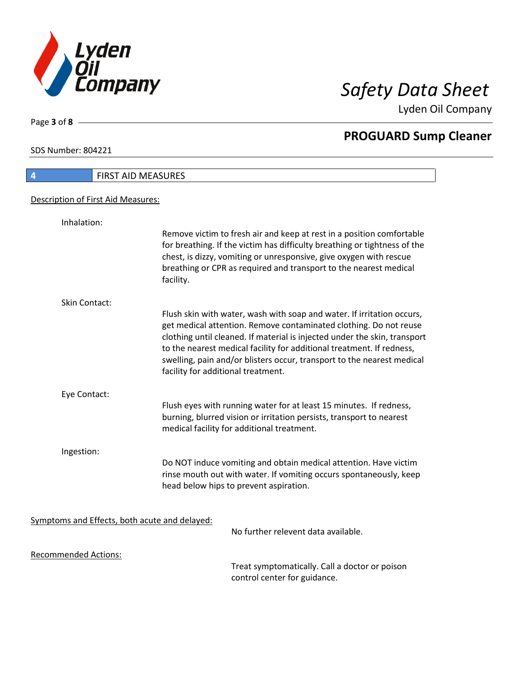

Lyden Oil Company

SDS Number: 804221

Page **3** of **8**

| <b>FIRST AID MEASURES</b><br>$\overline{4}$   |                                                                                                                                                                                                                                                                                                                                                                                                                   |
|-----------------------------------------------|-------------------------------------------------------------------------------------------------------------------------------------------------------------------------------------------------------------------------------------------------------------------------------------------------------------------------------------------------------------------------------------------------------------------|
| Description of First Aid Measures:            |                                                                                                                                                                                                                                                                                                                                                                                                                   |
| Inhalation:                                   |                                                                                                                                                                                                                                                                                                                                                                                                                   |
|                                               | Remove victim to fresh air and keep at rest in a position comfortable<br>for breathing. If the victim has difficulty breathing or tightness of the<br>chest, is dizzy, vomiting or unresponsive, give oxygen with rescue<br>breathing or CPR as required and transport to the nearest medical<br>facility.                                                                                                        |
| <b>Skin Contact:</b>                          |                                                                                                                                                                                                                                                                                                                                                                                                                   |
|                                               | Flush skin with water, wash with soap and water. If irritation occurs,<br>get medical attention. Remove contaminated clothing. Do not reuse<br>clothing until cleaned. If material is injected under the skin, transport<br>to the nearest medical facility for additional treatment. If redness,<br>swelling, pain and/or blisters occur, transport to the nearest medical<br>facility for additional treatment. |
| Eye Contact:                                  |                                                                                                                                                                                                                                                                                                                                                                                                                   |
|                                               | Flush eyes with running water for at least 15 minutes. If redness,<br>burning, blurred vision or irritation persists, transport to nearest<br>medical facility for additional treatment.                                                                                                                                                                                                                          |
| Ingestion:                                    |                                                                                                                                                                                                                                                                                                                                                                                                                   |
|                                               | Do NOT induce vomiting and obtain medical attention. Have victim<br>rinse mouth out with water. If vomiting occurs spontaneously, keep<br>head below hips to prevent aspiration.                                                                                                                                                                                                                                  |
| Symptoms and Effects, both acute and delayed: | No further relevent data available.                                                                                                                                                                                                                                                                                                                                                                               |
|                                               |                                                                                                                                                                                                                                                                                                                                                                                                                   |
| <b>Recommended Actions:</b>                   |                                                                                                                                                                                                                                                                                                                                                                                                                   |

Treat symptomatically. Call a doctor or poison control center for guidance.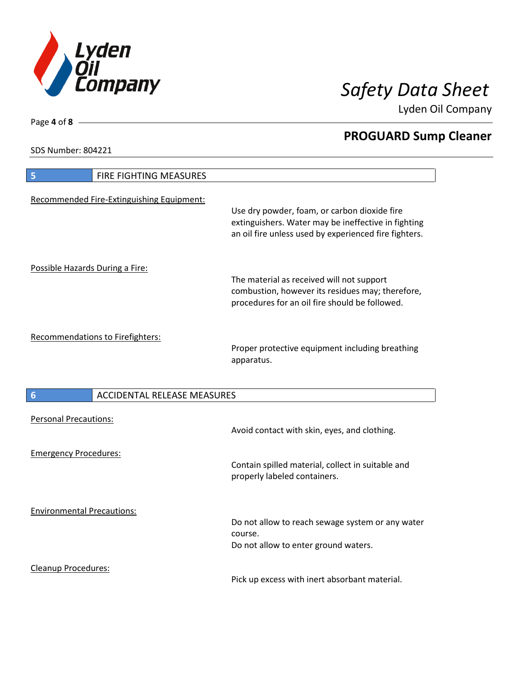

Lyden Oil Company

SDS Number: 804221

Cleanup Procedures:

| <b>FIRE FIGHTING MEASURES</b><br>5                    |                                                                                                                                                              |
|-------------------------------------------------------|--------------------------------------------------------------------------------------------------------------------------------------------------------------|
| Recommended Fire-Extinguishing Equipment:             | Use dry powder, foam, or carbon dioxide fire<br>extinguishers. Water may be ineffective in fighting<br>an oil fire unless used by experienced fire fighters. |
| Possible Hazards During a Fire:                       | The material as received will not support<br>combustion, however its residues may; therefore,<br>procedures for an oil fire should be followed.              |
| Recommendations to Firefighters:                      | Proper protective equipment including breathing<br>apparatus.                                                                                                |
| <b>ACCIDENTAL RELEASE MEASURES</b><br>$6\phantom{1}6$ |                                                                                                                                                              |
| <b>Personal Precautions:</b>                          | Avoid contact with skin, eyes, and clothing.                                                                                                                 |
| <b>Emergency Procedures:</b>                          | Contain spilled material, collect in suitable and<br>properly labeled containers.                                                                            |
| <b>Environmental Precautions:</b>                     |                                                                                                                                                              |

Pick up excess with inert absorbant material.

Page **4** of **8**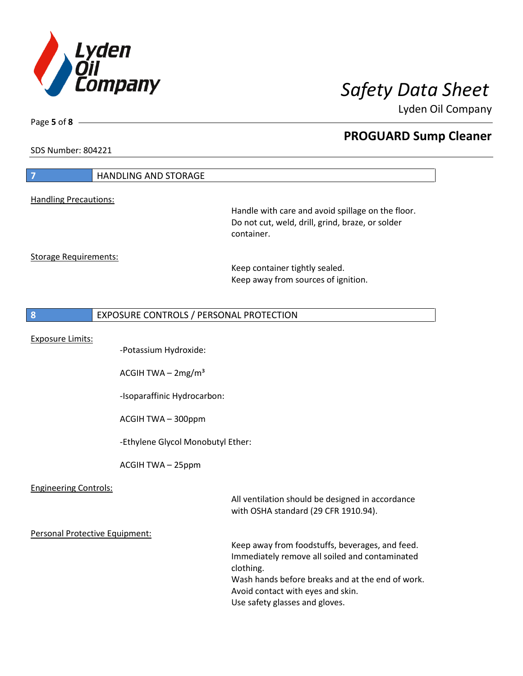

Lyden Oil Company

SDS Number: 804221

Page **5** of **8**

| $\overline{z}$                 | <b>HANDLING AND STORAGE</b>             |                                                                                       |
|--------------------------------|-----------------------------------------|---------------------------------------------------------------------------------------|
| <b>Handling Precautions:</b>   |                                         |                                                                                       |
|                                |                                         | Handle with care and avoid spillage on the floor.                                     |
|                                |                                         | Do not cut, weld, drill, grind, braze, or solder                                      |
|                                |                                         | container.                                                                            |
|                                |                                         |                                                                                       |
| <b>Storage Requirements:</b>   |                                         |                                                                                       |
|                                |                                         | Keep container tightly sealed.<br>Keep away from sources of ignition.                 |
|                                |                                         |                                                                                       |
|                                |                                         |                                                                                       |
| 8                              | EXPOSURE CONTROLS / PERSONAL PROTECTION |                                                                                       |
|                                |                                         |                                                                                       |
| <b>Exposure Limits:</b>        | -Potassium Hydroxide:                   |                                                                                       |
|                                |                                         |                                                                                       |
|                                | ACGIH TWA $-2mg/m3$                     |                                                                                       |
|                                |                                         |                                                                                       |
|                                | -Isoparaffinic Hydrocarbon:             |                                                                                       |
|                                | ACGIH TWA - 300ppm                      |                                                                                       |
|                                |                                         |                                                                                       |
|                                | -Ethylene Glycol Monobutyl Ether:       |                                                                                       |
|                                |                                         |                                                                                       |
|                                | ACGIH TWA - 25ppm                       |                                                                                       |
|                                |                                         |                                                                                       |
| <b>Engineering Controls:</b>   |                                         | All ventilation should be designed in accordance                                      |
|                                |                                         | with OSHA standard (29 CFR 1910.94).                                                  |
|                                |                                         |                                                                                       |
| Personal Protective Equipment: |                                         |                                                                                       |
|                                |                                         | Keep away from foodstuffs, beverages, and feed.                                       |
|                                |                                         | Immediately remove all soiled and contaminated                                        |
|                                |                                         | clothing.                                                                             |
|                                |                                         | Wash hands before breaks and at the end of work.<br>Avoid contact with eyes and skin. |
|                                |                                         | Use safety glasses and gloves.                                                        |
|                                |                                         |                                                                                       |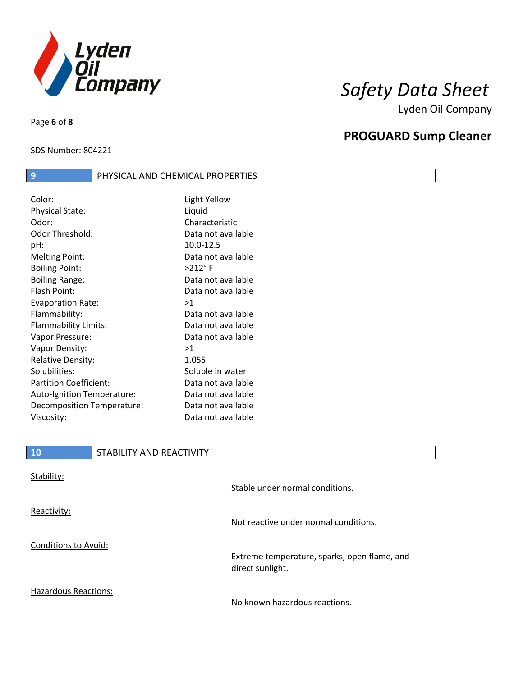

Lyden Oil Company

SDS Number: 804221

Page **6** of **8**

# **PROGUARD Sump Cleaner**

## **9 PHYSICAL AND CHEMICAL PROPERTIES**

| Color:                        | Light Yellow       |
|-------------------------------|--------------------|
| <b>Physical State:</b>        | Liquid             |
| Odor:                         | Characteristic     |
| Odor Threshold:               | Data not available |
| pH:                           | 10.0-12.5          |
| <b>Melting Point:</b>         | Data not available |
| <b>Boiling Point:</b>         | $>212$ °F          |
| <b>Boiling Range:</b>         | Data not available |
| Flash Point:                  | Data not available |
| <b>Evaporation Rate:</b>      | >1                 |
| Flammability:                 | Data not available |
| Flammability Limits:          | Data not available |
| Vapor Pressure:               | Data not available |
| Vapor Density:                | >1                 |
| <b>Relative Density:</b>      | 1.055              |
| Solubilities:                 | Soluble in water   |
| <b>Partition Coefficient:</b> | Data not available |
| Auto-Ignition Temperature:    | Data not available |
| Decomposition Temperature:    | Data not available |
| Viscosity:                    | Data not available |

| 10                   | STABILITY AND REACTIVITY |                                              |
|----------------------|--------------------------|----------------------------------------------|
| Stability:           |                          | Stable under normal conditions.              |
| Reactivity:          |                          | Not reactive under normal conditions.        |
| Conditions to Avoid: |                          | Extreme temperature, sparks, open flame, and |

Hazardous Reactions:

No known hazardous reactions.

direct sunlight.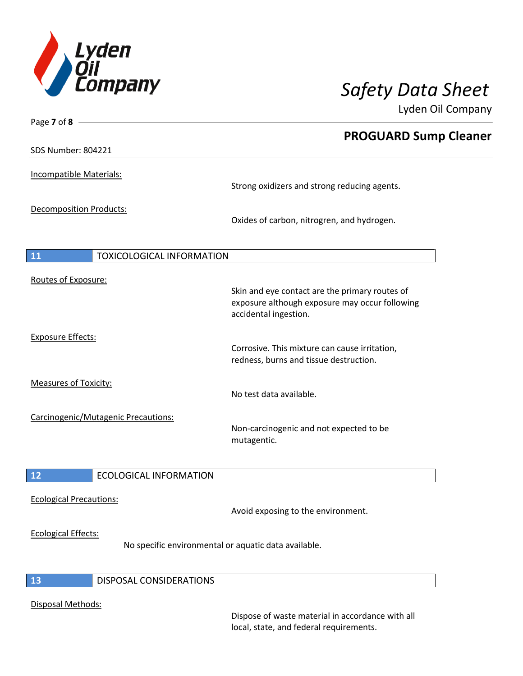

Lyden Oil Company

| Page 7 of 8                            |                                                                                         |
|----------------------------------------|-----------------------------------------------------------------------------------------|
| <b>SDS Number: 804221</b>              | <b>PROGUARD Sump Cleaner</b>                                                            |
|                                        |                                                                                         |
| Incompatible Materials:                | Strong oxidizers and strong reducing agents.                                            |
|                                        |                                                                                         |
| Decomposition Products:                | Oxides of carbon, nitrogren, and hydrogen.                                              |
|                                        |                                                                                         |
| 11<br><b>TOXICOLOGICAL INFORMATION</b> |                                                                                         |
| Routes of Exposure:                    |                                                                                         |
|                                        | Skin and eye contact are the primary routes of                                          |
|                                        | exposure although exposure may occur following<br>accidental ingestion.                 |
| <b>Exposure Effects:</b>               |                                                                                         |
|                                        | Corrosive. This mixture can cause irritation,<br>redness, burns and tissue destruction. |
| <b>Measures of Toxicity:</b>           |                                                                                         |
|                                        | No test data available.                                                                 |
| Carcinogenic/Mutagenic Precautions:    |                                                                                         |
|                                        | Non-carcinogenic and not expected to be<br>mutagentic.                                  |
|                                        |                                                                                         |
| <b>ECOLOGICAL INFORMATION</b><br>12    |                                                                                         |
| <b>Ecological Precautions:</b>         |                                                                                         |
|                                        | Avoid exposing to the environment.                                                      |
| <b>Ecological Effects:</b>             |                                                                                         |
|                                        | No specific environmental or aquatic data available.                                    |
| <b>DISPOSAL CONSIDERATIONS</b><br>13   |                                                                                         |
|                                        |                                                                                         |
| Disposal Methods:                      |                                                                                         |

Dispose of waste material in accordance with all local, state, and federal requirements.